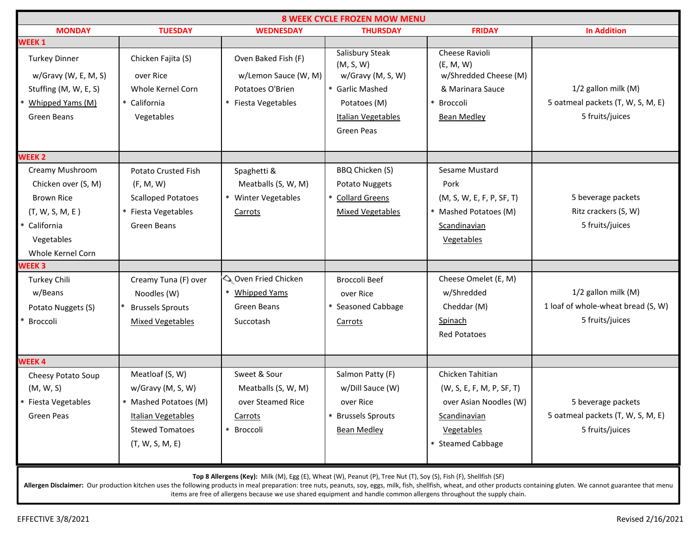| <b>8 WEEK CYCLE FROZEN MOW MENU</b>                                                                                             |                                                                                                                                  |                                                                                      |                                                                                                                                 |                                                                                                                            |                                                                              |  |  |  |
|---------------------------------------------------------------------------------------------------------------------------------|----------------------------------------------------------------------------------------------------------------------------------|--------------------------------------------------------------------------------------|---------------------------------------------------------------------------------------------------------------------------------|----------------------------------------------------------------------------------------------------------------------------|------------------------------------------------------------------------------|--|--|--|
| <b>MONDAY</b>                                                                                                                   | <b>TUESDAY</b>                                                                                                                   | <b>WEDNESDAY</b>                                                                     | <b>THURSDAY</b>                                                                                                                 | <b>FRIDAY</b>                                                                                                              | <b>In Addition</b>                                                           |  |  |  |
| <b>WEEK1</b>                                                                                                                    |                                                                                                                                  |                                                                                      |                                                                                                                                 |                                                                                                                            |                                                                              |  |  |  |
| <b>Turkey Dinner</b><br>$w/Gravy$ (W, E, M, S)<br>Stuffing (M, W, E, S)<br>Whipped Yams (M)<br>Green Beans                      | Chicken Fajita (S)<br>over Rice<br>Whole Kernel Corn<br>* California<br>Vegetables                                               | Oven Baked Fish (F)<br>w/Lemon Sauce (W, M)<br>Potatoes O'Brien<br>Fiesta Vegetables | Salisbury Steak<br>(M, S, W)<br>w/Gravy (M, S, W)<br>* Garlic Mashed<br>Potatoes (M)<br>Italian Vegetables<br><b>Green Peas</b> | Cheese Ravioli<br>(E, M, W)<br>w/Shredded Cheese (M)<br>& Marinara Sauce<br>Broccoli<br><b>Bean Medley</b>                 | 1/2 gallon milk (M)<br>5 oatmeal packets (T, W, S, M, E)<br>5 fruits/juices  |  |  |  |
| <b>WEEK 2</b>                                                                                                                   |                                                                                                                                  |                                                                                      |                                                                                                                                 |                                                                                                                            |                                                                              |  |  |  |
| Creamy Mushroom<br>Chicken over (S, M)<br><b>Brown Rice</b><br>(T, W, S, M, E)<br>California<br>Vegetables<br>Whole Kernel Corn | <b>Potato Crusted Fish</b><br>(F, M, W)<br><b>Scalloped Potatoes</b><br>* Fiesta Vegetables<br>Green Beans                       | Spaghetti &<br>Meatballs (S, W, M)<br>* Winter Vegetables<br>Carrots                 | BBQ Chicken (S)<br>Potato Nuggets<br>* Collard Greens<br><b>Mixed Vegetables</b>                                                | Sesame Mustard<br>Pork<br>(M, S, W, E, F, P, SF, T)<br>* Mashed Potatoes (M)<br>Scandinavian<br>Vegetables                 | 5 beverage packets<br>Ritz crackers (S, W)<br>5 fruits/juices                |  |  |  |
| <b>WEEK3</b>                                                                                                                    |                                                                                                                                  |                                                                                      |                                                                                                                                 |                                                                                                                            |                                                                              |  |  |  |
| Turkey Chili<br>w/Beans<br>Potato Nuggets (S)<br>Broccoli                                                                       | Creamy Tuna (F) over<br>Noodles (W)<br><b>Brussels Sprouts</b><br><b>Mixed Vegetables</b>                                        | Oven Fried Chicken<br><b>Whipped Yams</b><br>Green Beans<br>Succotash                | <b>Broccoli Beef</b><br>over Rice<br>* Seasoned Cabbage<br>Carrots                                                              | Cheese Omelet (E, M)<br>w/Shredded<br>Cheddar (M)<br>Spinach<br><b>Red Potatoes</b>                                        | 1/2 gallon milk (M)<br>1 loaf of whole-wheat bread (S, W)<br>5 fruits/juices |  |  |  |
| <b>WEEK4</b>                                                                                                                    |                                                                                                                                  |                                                                                      |                                                                                                                                 |                                                                                                                            |                                                                              |  |  |  |
| Cheesy Potato Soup<br>(M, W, S)<br>* Fiesta Vegetables<br>Green Peas                                                            | Meatloaf (S, W)<br>w/Gravy (M, S, W)<br>* Mashed Potatoes (M)<br>Italian Vegetables<br><b>Stewed Tomatoes</b><br>(T, W, S, M, E) | Sweet & Sour<br>Meatballs (S, W, M)<br>over Steamed Rice<br>Carrots<br>* Broccoli    | Salmon Patty (F)<br>w/Dill Sauce (W)<br>over Rice<br>* Brussels Sprouts<br><b>Bean Medley</b>                                   | Chicken Tahitian<br>(W, S, E, F, M, P, SF, T)<br>over Asian Noodles (W)<br>Scandinavian<br>Vegetables<br>* Steamed Cabbage | 5 beverage packets<br>5 oatmeal packets (T, W, S, M, E)<br>5 fruits/juices   |  |  |  |
| Top 8 Allergens (Key): Milk (M), Egg (E), Wheat (W), Peanut (P), Tree Nut (T), Soy (S), Fish (F), Shellfish (SF)                |                                                                                                                                  |                                                                                      |                                                                                                                                 |                                                                                                                            |                                                                              |  |  |  |

Allergen Disclaimer: Our production kitchen uses the following products in meal preparation: tree nuts, peanuts, soy, eggs, milk, fish, shellfish, wheat, and other products containing gluten. We cannot guarantee that menu items are free of allergens because we use shared equipment and handle common allergens throughout the supply chain.